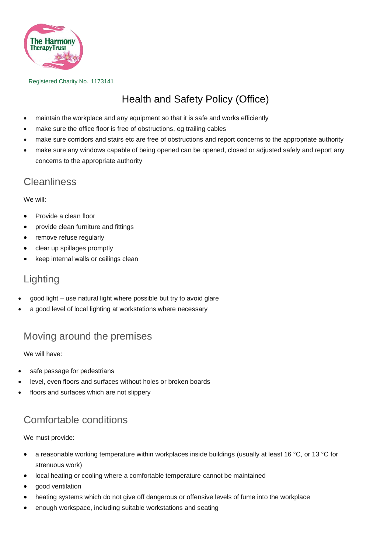

Registered Charity No. 1173141

# Health and Safety Policy (Office)

- maintain the workplace and any equipment so that it is safe and works efficiently
- make sure the office floor is free of obstructions, eg trailing cables
- make sure corridors and stairs etc are free of obstructions and report concerns to the appropriate authority
- make sure any windows capable of being opened can be opened, closed or adjusted safely and report any concerns to the appropriate authority

#### **Cleanliness**

We will:

- Provide a clean floor
- provide clean furniture and fittings
- remove refuse regularly
- clear up spillages promptly
- keep internal walls or ceilings clean

## Lighting

- good light use natural light where possible but try to avoid glare
- a good level of local lighting at workstations where necessary

#### Moving around the premises

We will have:

- safe passage for pedestrians
- level, even floors and surfaces without holes or broken boards
- floors and surfaces which are not slippery

## Comfortable conditions

We must provide:

- a reasonable working temperature within workplaces inside buildings (usually at least 16 °C, or 13 °C for strenuous work)
- local heating or cooling where a comfortable temperature cannot be maintained
- good ventilation
- heating systems which do not give off dangerous or offensive levels of fume into the workplace
- enough workspace, including suitable workstations and seating